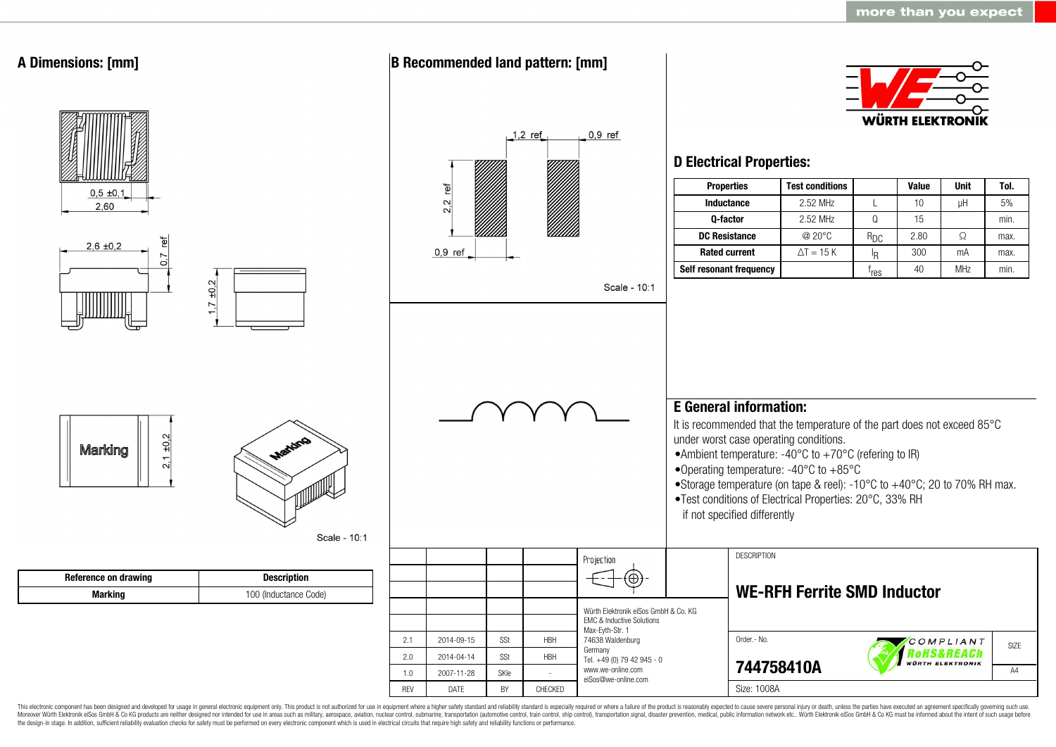

This electronic component has been designed and developed for usage in general electronic equipment only. This product is not authorized for use in equipment where a higher safety standard and reliability standard is espec Moreover Würth Elektronik eiSos GmbH & Co KG products are neither designed nor intended for use in areas such as military, aerospace, aviation, nuclear control, submarine, transportation (automotive control, ship control), the design-in stage. In addition, sufficient reliability evaluation checks for safety must be performed on every electronic component which is used in electrical circuits that require high safety and reliability functions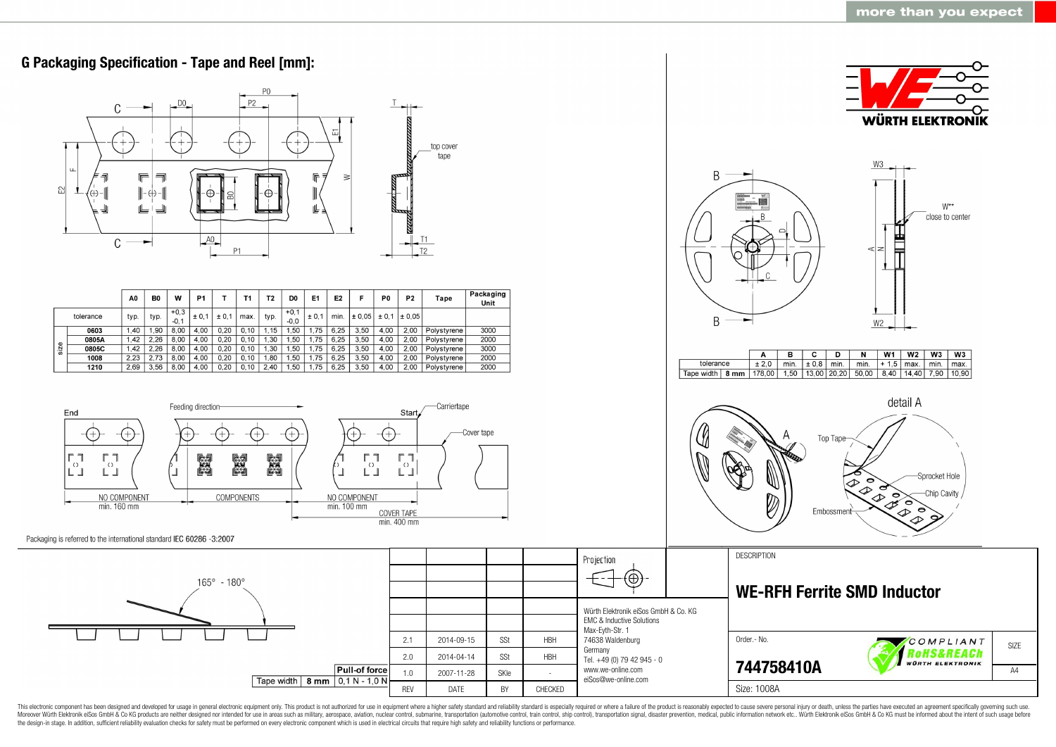

This electronic component has been designed and developed for usage in general electronic equipment only. This product is not authorized for use in equipment where a higher safety standard and reliability standard as espec Moreover Würth Elektronik eiSos GmbH & Co KG products are neither designed nor intended for use in areas such as military, aerospace, aviation, nuclear control, submarine, transportation (automotive control, ship control), the design-in stage. In addition, sufficient reliability evaluation checks for safety must be performed on every electronic component which is used in electrical circuits that require high safety and reliability functions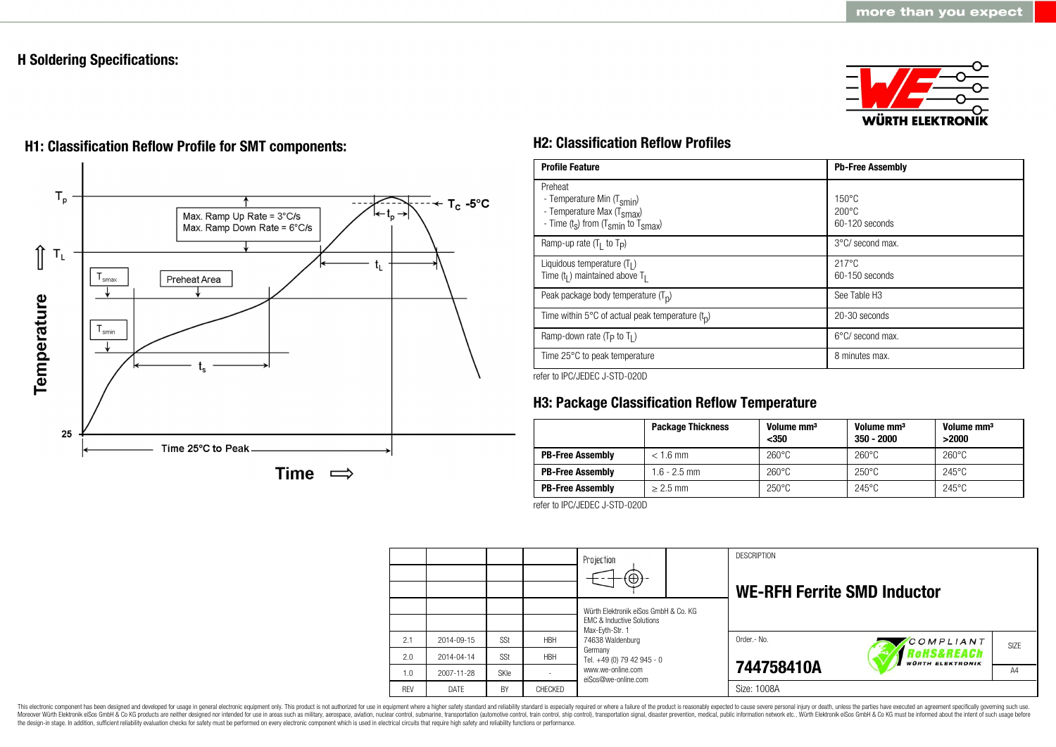# **H Soldering Specifications:**





# **H1: Classification Reflow Profile for SMT components: H2: Classification Reflow Profiles**

| <b>Profile Feature</b>                                                                                                                        | <b>Pb-Free Assembly</b>                             |
|-----------------------------------------------------------------------------------------------------------------------------------------------|-----------------------------------------------------|
| Preheat<br>- Temperature Min (T <sub>smin</sub> )<br>- Temperature Max (T <sub>Smax</sub> )<br>- Time $(t_s)$ from $(T_{smin}$ to $T_{smax})$ | $150^{\circ}$ C<br>$200\degree C$<br>60-120 seconds |
| Ramp-up rate $(T_1$ to $T_p$ )                                                                                                                | 3°C/ second max.                                    |
| Liquidous temperature $(T1)$<br>Time $(tl)$ maintained above T <sub>1</sub>                                                                   | $217^{\circ}$ C<br>60-150 seconds                   |
| Peak package body temperature $(Tp)$                                                                                                          | See Table H <sub>3</sub>                            |
| Time within 5°C of actual peak temperature $(t_n)$                                                                                            | 20-30 seconds                                       |
| Ramp-down rate ( $T_P$ to $T_I$ )                                                                                                             | $6^{\circ}$ C/ second max.                          |
| Time 25°C to peak temperature                                                                                                                 | 8 minutes max.                                      |

refer to IPC/JEDEC J-STD-020D

# **H3: Package Classification Reflow Temperature**

|                         | <b>Package Thickness</b> | Volume mm <sup>3</sup><br>$350$ | Volume mm <sup>3</sup><br>$350 - 2000$ | Volume mm <sup>3</sup><br>>2000 |
|-------------------------|--------------------------|---------------------------------|----------------------------------------|---------------------------------|
| <b>PB-Free Assembly</b> | $< 1.6$ mm               | $260^{\circ}$ C                 | $260^{\circ}$ C                        | $260^{\circ}$ C                 |
| <b>PB-Free Assembly</b> | $1.6 - 2.5$ mm           | $260^{\circ}$ C                 | $250^{\circ}$ C                        | $245^{\circ}$ C                 |
| <b>PB-Free Assembly</b> | $> 2.5$ mm               | $250^{\circ}$ C                 | $245^{\circ}$ C                        | $245^{\circ}$ C                 |

refer to IPC/JEDEC J-STD-020D

|            |            |      |            | Projection<br>$(\oplus)$                                                                                                                                                                      |  | <b>DESCRIPTION</b><br><b>WE-RFH Ferrite SMD Inductor</b> |                                       |      |
|------------|------------|------|------------|-----------------------------------------------------------------------------------------------------------------------------------------------------------------------------------------------|--|----------------------------------------------------------|---------------------------------------|------|
|            |            |      |            | Würth Elektronik eiSos GmbH & Co. KG<br>FMC & Inductive Solutions<br>Max-Eyth-Str. 1<br>74638 Waldenburg<br>Germany<br>Tel. +49 (0) 79 42 945 - 0<br>www.we-online.com<br>eiSos@we-online.com |  |                                                          |                                       |      |
| 2.1        | 2014-09-15 | SSt  | <b>HBH</b> |                                                                                                                                                                                               |  | Order - No.                                              | COMPLIANT                             | SIZE |
| 2.0        | 2014-04-14 | SSt  | <b>HBH</b> |                                                                                                                                                                                               |  |                                                          | RoHS&REACh<br><b>WÜRTH ELEKTRONIK</b> |      |
| 1.0        | 2007-11-28 | SKIe |            |                                                                                                                                                                                               |  | 744758410A                                               |                                       | A4   |
| <b>RFV</b> | DATE       | BY   | CHECKED    |                                                                                                                                                                                               |  | Size: 1008A                                              |                                       |      |

This electronic component has been designed and developed for usage in general electronic equipment only. This product is not authorized for use in equipment where a higher safety standard and reliability standard is espec Moreover Würth Elektronik eiSos GmbH & Co KG products are neither designed nor intended for use in areas such as military, aerospace, aviation, nuclear control, submarine, transportation (automotive control), stain control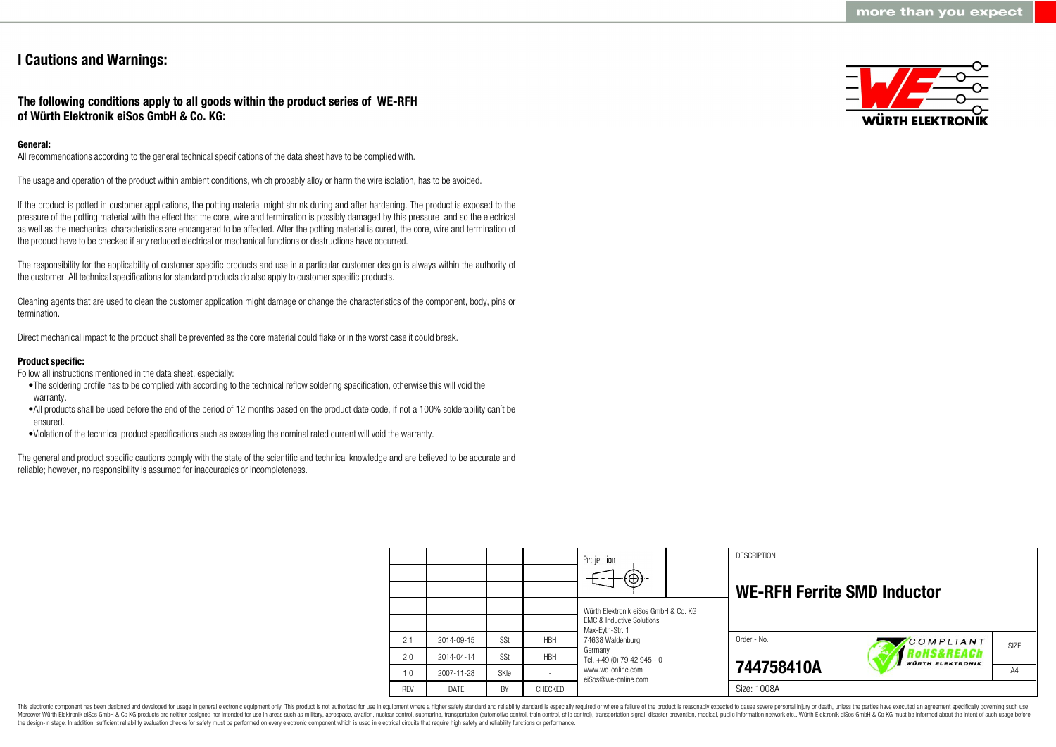# **I Cautions and Warnings:**

## **The following conditions apply to all goods within the product series of WE-RFH of Würth Elektronik eiSos GmbH & Co. KG:**

## **General:**

All recommendations according to the general technical specifications of the data sheet have to be complied with.

The usage and operation of the product within ambient conditions, which probably alloy or harm the wire isolation, has to be avoided.

If the product is potted in customer applications, the potting material might shrink during and after hardening. The product is exposed to the pressure of the potting material with the effect that the core, wire and termination is possibly damaged by this pressure and so the electrical as well as the mechanical characteristics are endangered to be affected. After the potting material is cured, the core, wire and termination of the product have to be checked if any reduced electrical or mechanical functions or destructions have occurred.

The responsibility for the applicability of customer specific products and use in a particular customer design is always within the authority of the customer. All technical specifications for standard products do also apply to customer specific products.

Cleaning agents that are used to clean the customer application might damage or change the characteristics of the component, body, pins or termination.

Direct mechanical impact to the product shall be prevented as the core material could flake or in the worst case it could break.

## **Product specific:**

Follow all instructions mentioned in the data sheet, especially:

- •The soldering profile has to be complied with according to the technical reflow soldering specification, otherwise this will void the warranty.
- •All products shall be used before the end of the period of 12 months based on the product date code, if not a 100% solderability can´t be ensured.
- •Violation of the technical product specifications such as exceeding the nominal rated current will void the warranty.

The general and product specific cautions comply with the state of the scientific and technical knowledge and are believed to be accurate and reliable; however, no responsibility is assumed for inaccuracies or incompleteness.



|            |            |             |            | Projection                                                                   |  | <b>DESCRIPTION</b>                 |                                                  |                   |
|------------|------------|-------------|------------|------------------------------------------------------------------------------|--|------------------------------------|--------------------------------------------------|-------------------|
|            |            |             |            | $\textcircled{\scriptsize\textcircled{\scriptsize\textcirc}}$                |  | <b>WE-RFH Ferrite SMD Inductor</b> |                                                  |                   |
|            |            |             |            | Würth Elektronik eiSos GmbH & Co. KG<br><b>EMC &amp; Inductive Solutions</b> |  |                                    |                                                  |                   |
| 2.1        | 2014-09-15 | SSt         | <b>HBH</b> | Max-Evth-Str. 1<br>74638 Waldenburg                                          |  | Order.- No.                        | COMPLIANT                                        | SI <sub>7</sub> F |
| 2.0        | 2014-04-14 | SSt         | <b>HBH</b> | Germany<br>Tel. +49 (0) 79 42 945 - 0                                        |  |                                    | <b>'oHS&amp;REACh</b><br><b>WÜRTH ELEKTRONIK</b> |                   |
| 1.0        | 2007-11-28 | <b>SKIe</b> |            | www.we-online.com<br>eiSos@we-online.com                                     |  | 744758410A                         |                                                  | A4                |
| <b>REV</b> | DATE       | BY          | CHECKED    |                                                                              |  | Size: 1008A                        |                                                  |                   |

This electronic component has been designed and developed for usage in general electronic equipment only. This product is not authorized for use in equipment where a higher safety standard and reliability standard is espec Moreover Würth Elektronik eiSos GmbH & Co KG products are neither designed nor intended for use in areas such as military, aerospace, aviation, nuclear control, submarine, transportation (automotive control), tain control) the design-in stage. In addition, sufficient reliability evaluation checks for safety must be performed on every electronic component which is used in electrical circuits that require high safety and reliability functions